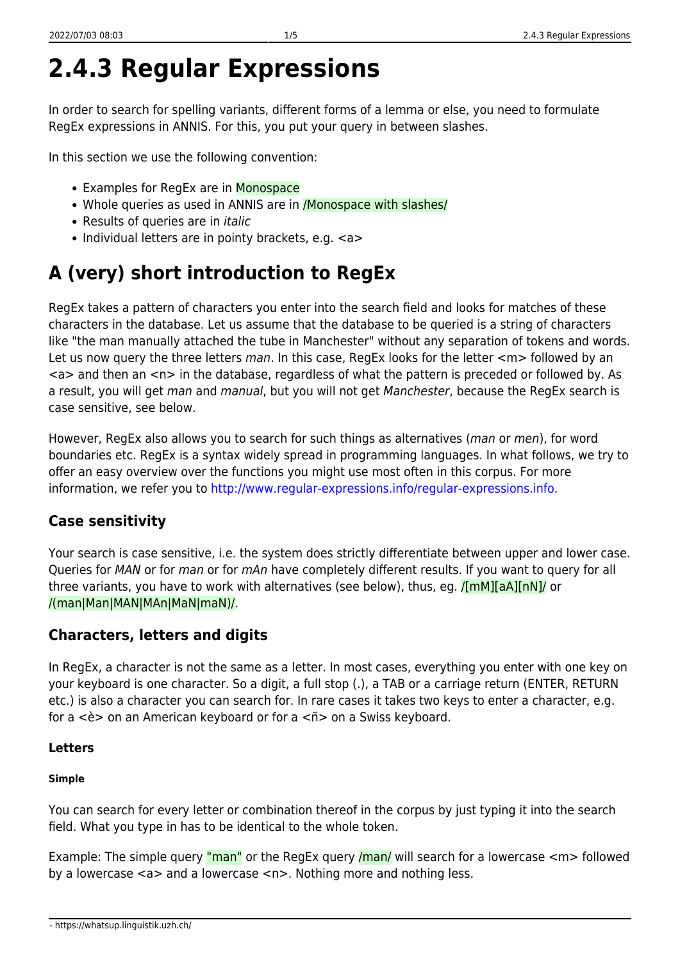# **2.4.3 Regular Expressions**

In order to search for spelling variants, different forms of a lemma or else, you need to formulate RegEx expressions in ANNIS. For this, you put your query in between slashes.

In this section we use the following convention:

- Examples for RegEx are in Monospace
- Whole queries as used in ANNIS are in /Monospace with slashes/
- Results of queries are in *italic*
- Individual letters are in pointy brackets, e.g. <a>

## **A (very) short introduction to RegEx**

RegEx takes a pattern of characters you enter into the search field and looks for matches of these characters in the database. Let us assume that the database to be queried is a string of characters like "the man manually attached the tube in Manchester" without any separation of tokens and words. Let us now query the three letters man. In this case, RegEx looks for the letter  $\langle m \rangle$  followed by an <a> and then an <n> in the database, regardless of what the pattern is preceded or followed by. As a result, you will get man and manual, but you will not get Manchester, because the RegEx search is case sensitive, see below.

However, RegEx also allows you to search for such things as alternatives (man or men), for word boundaries etc. RegEx is a syntax widely spread in programming languages. In what follows, we try to offer an easy overview over the functions you might use most often in this corpus. For more information, we refer you to <http://www.regular-expressions.info/regular-expressions.info>.

## **Case sensitivity**

Your search is case sensitive, i.e. the system does strictly differentiate between upper and lower case. Queries for MAN or for man or for mAn have completely different results. If you want to query for all three variants, you have to work with alternatives (see below), thus, eg. *[[mM][aA][nN]/* or /(man|Man|MAN|MAn|MaN|maN)/.

## **Characters, letters and digits**

In RegEx, a character is not the same as a letter. In most cases, everything you enter with one key on your keyboard is one character. So a digit, a full stop (.), a TAB or a carriage return (ENTER, RETURN etc.) is also a character you can search for. In rare cases it takes two keys to enter a character, e.g. for a <è> on an American keyboard or for a <ñ> on a Swiss keyboard.

#### **Letters**

#### **Simple**

You can search for every letter or combination thereof in the corpus by just typing it into the search field. What you type in has to be identical to the whole token.

Example: The simple query "man" or the RegEx query /man/ will search for a lowercase <m> followed by a lowercase <a> and a lowercase <n>. Nothing more and nothing less.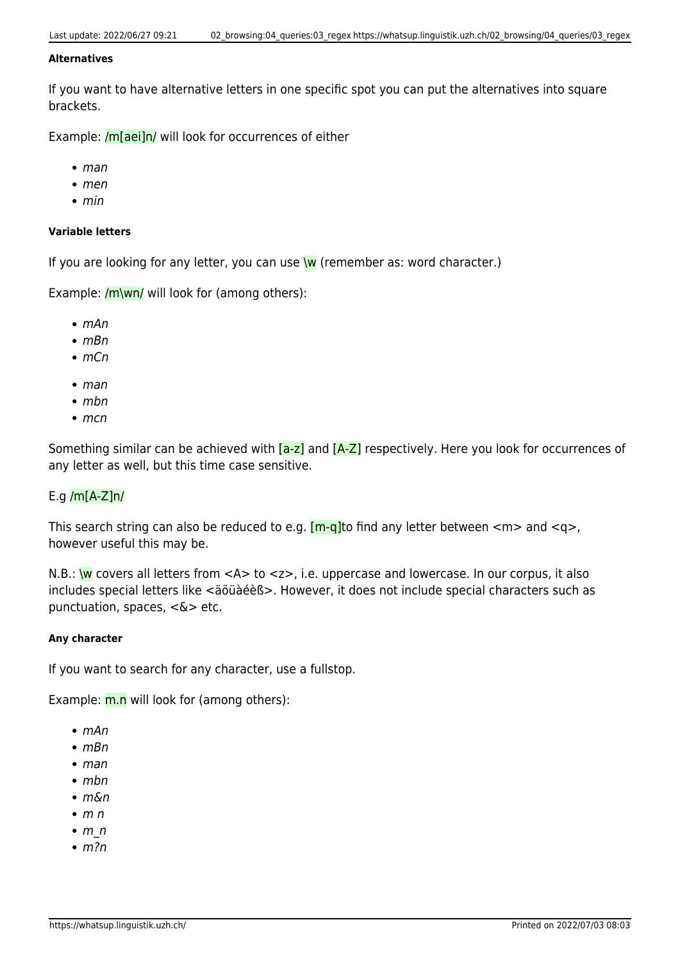#### **Alternatives**

If you want to have alternative letters in one specific spot you can put the alternatives into square brackets.

Example: /m[aei]n/ will look for occurrences of either

- $eman$
- men
- $\bullet$  min

#### **Variable letters**

If you are looking for any letter, you can use  $w$  (remember as: word character.)

Example:  $/m\$ wn/ will look for (among others):

- $\bullet$  mAn
- mBn
- $\bullet$  mCn
- $eman$
- $\bullet$  mbn
- $emcn$

Something similar can be achieved with  $[a-z]$  and  $[A-Z]$  respectively. Here you look for occurrences of any letter as well, but this time case sensitive.

#### E.g /m[A-Z]n/

This search string can also be reduced to e.g.  $[m-q]$  to find any letter between  $\langle m \rangle$  and  $\langle q \rangle$ , however useful this may be.

N.B.:  $\mathsf{w}$  covers all letters from <A> to <z>, i.e. uppercase and lowercase. In our corpus, it also includes special letters like <äöüàéèß>. However, it does not include special characters such as punctuation, spaces, <&> etc.

#### **Any character**

If you want to search for any character, use a fullstop.

Example:  $m.n$  will look for (among others):

- $\cdot$  mAn
- $emBn$
- $eman$
- $\bullet$  mbn
- m&n
- $\bullet$  m n
- $emn$
- $\bullet$  m?n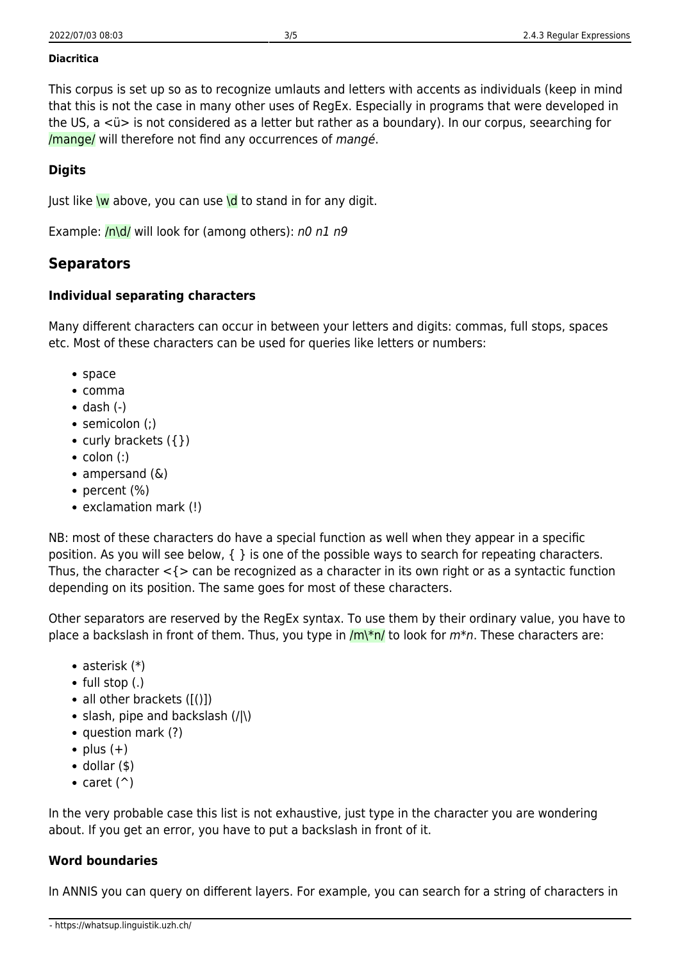#### **Diacritica**

This corpus is set up so as to recognize umlauts and letters with accents as individuals (keep in mind that this is not the case in many other uses of RegEx. Especially in programs that were developed in the US, a <ü> is not considered as a letter but rather as a boundary). In our corpus, seearching for /mange/ will therefore not find any occurrences of mangé.

#### **Digits**

Just like  $\overline{w}$  above, you can use  $\overline{d}$  to stand in for any digit.

Example:  $/n \ddot{o}$  will look for (among others): n0 n1 n9

## **Separators**

### **Individual separating characters**

Many different characters can occur in between your letters and digits: commas, full stops, spaces etc. Most of these characters can be used for queries like letters or numbers:

- space
- comma
- $\bullet$  dash  $(-)$
- semicolon (;)
- curly brackets  $({})$
- $\bullet$  colon (:)
- ampersand  $(\&)$
- percent (%)
- exclamation mark (!)

NB: most of these characters do have a special function as well when they appear in a specific position. As you will see below, { } is one of the possible ways to search for repeating characters. Thus, the character  $\leq$   $\leq$  can be recognized as a character in its own right or as a syntactic function depending on its position. The same goes for most of these characters.

Other separators are reserved by the RegEx syntax. To use them by their ordinary value, you have to place a backslash in front of them. Thus, you type in  $/m\$ to look for  $m*n$ . These characters are:

- asterisk (\*)
- $\bullet$  full stop (.)
- all other brackets  $([()])$
- slash, pipe and backslash  $(| \rangle)$
- question mark (?)
- $\bullet$  plus  $(+)$
- $\bullet$  dollar (\$)
- caret  $(^{\wedge})$

In the very probable case this list is not exhaustive, just type in the character you are wondering about. If you get an error, you have to put a backslash in front of it.

#### **Word boundaries**

In ANNIS you can query on different layers. For example, you can search for a string of characters in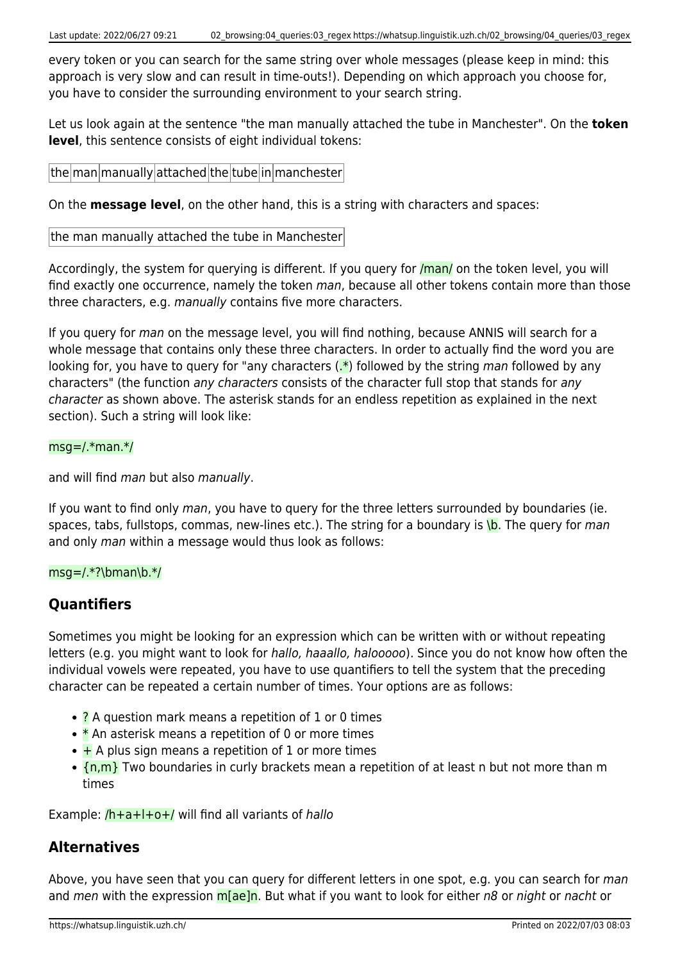every token or you can search for the same string over whole messages (please keep in mind: this approach is very slow and can result in time-outs!). Depending on which approach you choose for, you have to consider the surrounding environment to your search string.

Let us look again at the sentence "the man manually attached the tube in Manchester". On the **token level**, this sentence consists of eight individual tokens:

 $|$ the  $|$ man $|$ manually  $|$ attached $|$ the $|$ tube $|$ in $|$ manchester $|$ 

On the **message level**, on the other hand, this is a string with characters and spaces:

the man manually attached the tube in Manchester

Accordingly, the system for querying is different. If you query for *[man]* on the token level, you will find exactly one occurrence, namely the token man, because all other tokens contain more than those three characters, e.g. manually contains five more characters.

If you query for man on the message level, you will find nothing, because ANNIS will search for a whole message that contains only these three characters. In order to actually find the word you are looking for, you have to query for "any characters  $(x^*)$  followed by the string man followed by any characters" (the function any characters consists of the character full stop that stands for any character as shown above. The asterisk stands for an endless repetition as explained in the next section). Such a string will look like:

#### msg=/.\*man.\*/

and will find man but also manually.

If you want to find only man, you have to query for the three letters surrounded by boundaries (ie. spaces, tabs, fullstops, commas, new-lines etc.). The string for a boundary is  $\overline{b}$ . The query for man and only man within a message would thus look as follows:

#### msg=/.\*?\bman\b.\*/

## **Quantifiers**

Sometimes you might be looking for an expression which can be written with or without repeating letters (e.g. you might want to look for *hallo, haaallo, halooooo*). Since you do not know how often the individual vowels were repeated, you have to use quantifiers to tell the system that the preceding character can be repeated a certain number of times. Your options are as follows:

- **?** A question mark means a repetition of 1 or 0 times
- $\bullet$  \* An asterisk means a repetition of 0 or more times
- $\bullet$  + A plus sign means a repetition of 1 or more times
- $\cdot$   $\{n,m\}$  Two boundaries in curly brackets mean a repetition of at least n but not more than m times

Example:  $/h+a+1+o+/-$  will find all variants of hallo

## **Alternatives**

Above, you have seen that you can query for different letters in one spot, e.g. you can search for man and men with the expression m[ae]n. But what if you want to look for either n8 or night or nacht or